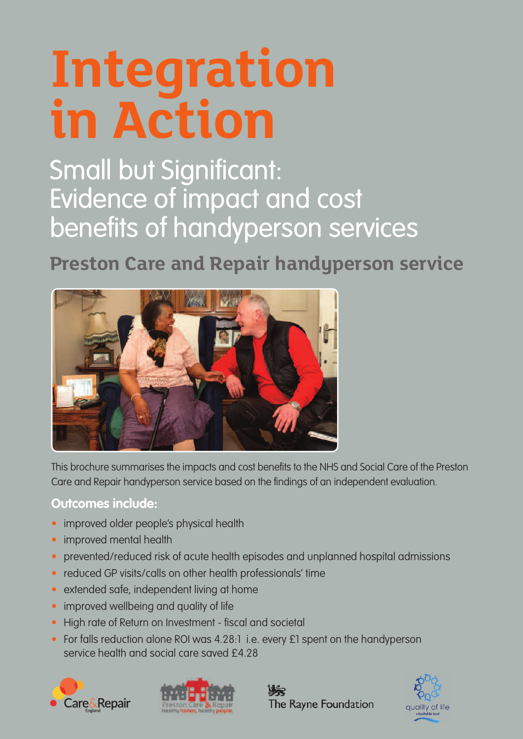# **Integration in Action**

Small but Significant: Evidence of impact and cost benefits of handyperson services

**Preston Care and Repair handyperson service**



This brochure summarises the impacts and cost benefits to the NHS and Social Care of the Preston Care and Repair handyperson service based on the findings of an independent evaluation.

## **Outcomes include:**

- improved older people's physical health
- improved mental health
- prevented/reduced risk of acute health episodes and unplanned hospital admissions
- reduced GP visits/calls on other health professionals' time
- extended safe, independent living at home
- improved wellbeing and quality of life
- High rate of Return on Investment fiscal and societal
- For falls reduction alone ROI was 4.28:1 i.e. every £1 spent on the handyperson service health and social care saved £4.28







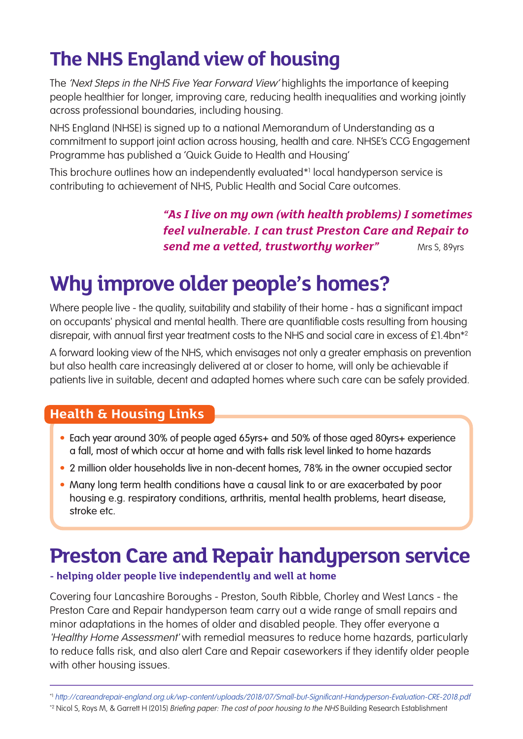# **The NHS England viewof housing**

The 'Next Steps in the NHS Five Year Forward View' highlights the importance of keeping people healthier for longer, improving care, reducing health inequalities and working jointly across professional boundaries, including housing.

NHS England (NHSE) is signed up to a national Memorandum of Understanding as a commitment to support joint action across housing, health and care. NHSE's CCG Engagement Programme has published a 'Quick Guide to Health and Housing'

This brochure outlines how an independently evaluated\*1 local handyperson service is contributing to achievement of NHS, Public Health and Social Care outcomes.

> *"As I live on my own (with health problems) I sometimes feel vulnerable. I can trust Preston Care and Repair to send me a vetted, trustworthy worker"* Mrs S, 89yrs

# **Why improve older people's homes?**

Where people live - the quality, suitability and stability of their home - has a significant impact on occupants' physical and mental health. There are quantifiable costs resulting from housing disrepair, with annual first year treatment costs to the NHS and social care in excess of £1.4bn<sup>\*2</sup>

A forward looking view of the NHS, which envisages not only a greater emphasis on prevention but also health care increasingly delivered at or closer to home, will only be achievable if patients live in suitable, decent and adapted homes where such care can be safely provided.

## **Health & Housing Links**

- Each year around 30% of people aged 65yrs+ and 50% of those aged 80yrs+ experience a fall, most of which occur at home and with falls risk level linked to home hazards
- 2 million older households live in non-decent homes, 78% in the owner occupied sector
- Many long term health conditions have a causal link to or are exacerbated by poor housing e.g. respiratory conditions, arthritis, mental health problems, heart disease, stroke etc.

# **Preston Care and Repair handyperson service**

#### **- helping older people live independently and well at home**

Covering four Lancashire Boroughs - Preston, South Ribble, Chorley and West Lancs - the Preston Care and Repair handyperson team carry out a wide range of small repairs and minor adaptations in the homes of older and disabled people. They offer everyone a 'Healthy Home Assessment' with remedial measures to reduce home hazards, particularly to reduce falls risk, and also alert Care and Repair caseworkers if they identify older people with other housing issues.

\*2 Nicol S, Roys M, & Garrett H (2015) Briefing paper: The cost of poor housing to the NHS Building Research Establishment

<sup>\*1</sup> http://careandrepair-england.org.uk/wp-content/uploads/2018/07/Small-but-Significant-Handyperson-Evaluation-CRE-2018.pdf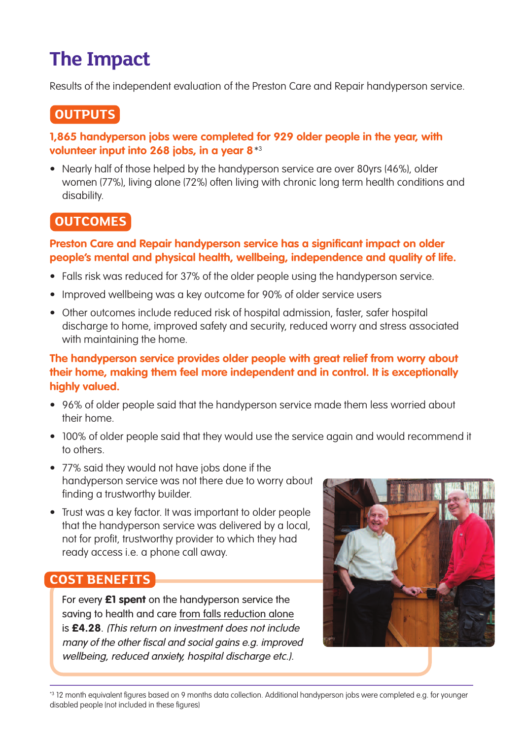# **The Impact**

Results of the independent evaluation of the Preston Care and Repair handyperson service.

# **OUTPUTS**

#### **1,865 handyperson jobs were completed for 929 older people in the year, with volunteer input into 268 jobs, in a year 8**\*3

• Nearly half of those helped by the handyperson service are over 80yrs (46%), older women (77%), living alone (72%) often living with chronic long term health conditions and disability.

## **OUTCOMES**

#### **Preston Care and Repair handyperson service has a significant impact on older people's mental and physical health, wellbeing, independence and quality of life.**

- Falls risk was reduced for 37% of the older people using the handyperson service.
- Improved wellbeing was a key outcome for 90% of older service users
- Other outcomes include reduced risk of hospital admission, faster, safer hospital discharge to home, improved safety and security, reduced worry and stress associated with maintaining the home.

#### **The handyperson service provides older people with great relief from worry about their home, making them feel more independent and in control. It is exceptionally highly valued.**

- 96% of older people said that the handyperson service made them less worried about their home.
- 100% of older people said that they would use the service again and would recommend it to others.
- 77% said they would not have jobs done if the handyperson service was not there due to worry about finding a trustworthy builder.
- Trust was a key factor. It was important to older people that the handyperson service was delivered by a local, not for profit, trustworthy provider to which they had ready access i.e. a phone call away.

## **COST BENEFITS**

For every **£1 spent** on the handyperson service the saving to health and care from falls reduction alone is **£4.28**. (This return on investment does not include many of the other fiscal and social gains e.g. improved wellbeing, reduced anxiety, hospital discharge etc.).



\*3 12 month equivalent figures based on 9 months data collection. Additional handyperson jobs were completed e.g. for younger disabled people (not included in these figures)